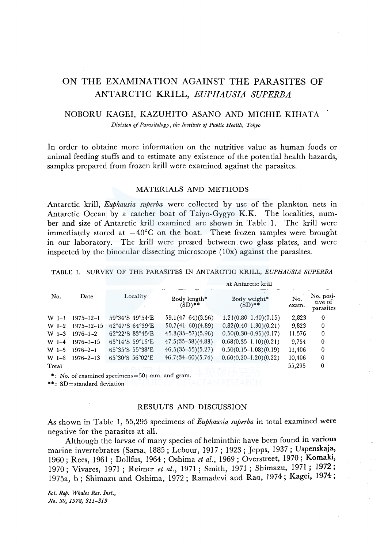# ON THE EXAMINATION AGAINST THE PARASITES OF ANTARCTIC KRILL, *EUPHAUSIA SUPERBA*

# NOBORU KAGEi, KAZUHITO ASANO AND MICHIE KIHATA

*Division of Parasitology, the Institute of Public Health, Tokyo* 

In order to obtaine more information on the nutritive value as human foods or animal feeding stuffs and to estimate any existence of the potential health hazards, samples prepared from frozen krill were examined against the parasites.

### MATERIALS AND METHODS

Antarctic krill, *Euphausia superba* were collected by use of the plankton nets in Antarctic Ocean by a catcher boat of Taiyo-Gygyo K.K. The localities, number and size of Antarctic krill examined are shown in Table 1. The krill were immediately stored at  $-40^{\circ}$ C on the boat. These frozen samples were brought in our laboratory. The krill were pressed between two glass plates, and were inspected by the binocular dissecting microscope  $(10x)$  against the parasites.

TABLE I. SURVEY OF THE PARASITES IN ANTARCTIC KRILL, *EUPHAUSIA SUPERBA* 

|         |                  |                                                | at Antarctic krill        |                           |              |                                   |
|---------|------------------|------------------------------------------------|---------------------------|---------------------------|--------------|-----------------------------------|
| No.     | Date             | Locality                                       | Body length*<br>$(SD)$ ** | Body weight*<br>$(SD)$ ** | No.<br>exam. | No. posi-<br>tive of<br>parasites |
| $W I-1$ | $1975 - 12 - 1$  | 59°34'S 49°54'E                                | $59.1(47-64)(3.56)$       | $1,21(0.80-1.40)(0.15)$   | 2,823        | 0                                 |
| $W I-2$ | $1975 - 12 - 15$ | 62°47'S 64°39'E                                | $50.7(41-60)(4.89)$       | $0.82(0.40-1.30)(0.21)$   | 9.823        | 0                                 |
| $W1-3$  | $1976 - 1 - 2$   | $62^{\circ}22'$ S 83 $^{\circ}45'$ E           | $45.3(35-57)(5.96)$       | $0.50(0.30-0.95)(0.17)$   | 11.576       | 0                                 |
| $W I-4$ | $1976 - 1 - 15$  | 65°14'S 59°15'E                                | $47.5(35-58)(4.83)$       | $0.68(0.35-1.10)(0.21)$   | 9,754        | 0                                 |
| W I-5   | $1976 - 2 - 1$   | 65°35'S 55°38'E                                | $46.5(35-55)(5.27)$       | $0.50(0.15-1.08)(0.19)$   | 11,406       | 0                                 |
| $W$ I-6 | $1976 - 2 - 13$  | 65°30'S 56°02'E                                | $46.7(34-60)(5.74)$       | $0.60(0.20-1.20)(0.22)$   | 10,406       | $\Omega$                          |
| Total   |                  |                                                |                           |                           | 55,295       | 0                                 |
|         |                  | *: No. of examined specimens=50; mm. and gram. |                           |                           |              |                                   |

\*\*: SD=standard deviation

#### RESULTS AND DISCUSSION

As shown in Table 1, 55,295 specimens of *Euphausia superba* in total examined were negative for the parasites at all.

Although the larvae of many species of helminthic have been found in various marine invertebrates (Sarsa, 1885; Lebour, 1917; 1923; Jepps, 1937; Uspenskaja, 1960; Rees, 1961 ; Dollfus, 1964; Oshima *et al.,* 1969; Overstreet, 1970; Komak1, 1970; Vivares, 1971 ; Reimer *et al.,* 1971 ; Smith, 1971 ; Shimazu, 1971; 1972; 1975a, b; Shimazu and Oshima, 1972; Ramadevi and Rao, 1974; Kagei, 1974;

 $Sci.$  Rep. Whales Res. Inst., *No. 30, 1978, 311-313*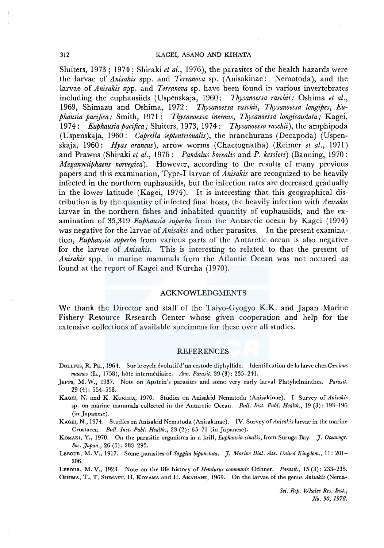Sluiters, 1973; 1974; Shiraki *et al.,* 1976), the parasites of the health hazards were the larvae of *Anisakis* spp. and *Terranova* sp. (Anisakinae: Nematoda), and the larvae of *Anisakis* spp. and *Terranova* sp. have been found in various invertebrates including the euphausiids (Uspenskaja, 1960: *Thysanoessa raschii;* Oshima *et al.,*  1969, Shimazu and Oshima, 1972: *Thysanoessa raschii, Thysanoessa longipes, Euphausia pacifica;* Smith, 1971 : *Tlrysanoessa inermis, Thysanoessa longicaudata;* Kagei, 1974: *Euphausia pacifica;* Sluiters, 1973, 1974: *Thysanoessa raschii),* the amphipoda (Uspenskaja, 1960: *Caprella septentrionalis),* the branchurans (Decapoda) (Uspenskaja, 1960: *Hyas araneus),* arrow worms (Chaetognatha) (Reimer *et al.,* 1971) and Prawns (Shiraki *et al.,* 1976: *Pandalus borealis* and *P. kessleri)* (Banning, 1970: *Meganyctiphaens norvegica).* However, according to the results of many previous papers and this examination, Type-I larvae of *Anisakis* are recognized to be heavily infected in the northern euphausiids, but the infection rates are decreased gradually in the lower latitude (Kagei, 1974). It is interesting that this geographical distribution is by the quantity of infected final hosts, the heavily infection with *Anisakis*  larvae in the northern fishes and inhabited quantity of euphausiids, and the examination of 35,319 *Euphausia superba* from the Antarctic ocean by Kagei ( 1974) was negative for the larvae of *Anisakis* and other parasites. In the present examination, *Euphausia superba* from various parts of the Antarctic ocean is also negative for the larvae of *Anisakis.* This is interesting to related to that the present of *Anisakis* spp. in marine mammals from the Atlantic Ocean was not occured as found at the report of Kagei and Kureha (1970).

### ACKNOWLEDGMENTS

We thank the Director and staff of the Taiyo-Gyogyo K.K. and Japan Marine Fishery Resource Research Center whose given cooperation and help for the extensive collections of available specimens for these over all studies.

#### REFERENCES

- DOLLFUS, R. PH., 1964. Sur le cycle évolutif d'un cestode diphyllide. Identification de la larve chez *Carcinus maenas* (L., 1758), hote intermediaire. *Ann. Parasit.* 39 (3): 235-241.
- ]EPPS, M. W., 1937. Note on Apstein's parasites and some very early larval Platyhelminthes. *Parasit.*  29 ( 4): 554-558.
- KAGEI, N. and K. KuREHA, 1970. Studies on Anisakid Nematoda (Anisakinae). I. Survey of *Anisakis*  sp. on marine mammals collected in the Antarctic Ocean. *Bull. Inst. Puhl. Health.,* 19 (3): 193-196 (in Japanese).

KAGEi, N., 1974. Studies on Anisakid Nematoda (Anisakinae). IV. Survey of *Anisakis* larvae in the marine Crustacea. *Bull. Inst. Puhl. Health.,* 23 (2): 65-71 (in Japanese).

KoMAKI, Y., 1970. On the parasitic organisms in a krill, *Euphausia similis,* from Suruga Bay. *J. Oceanogr. Soc. Japan.,* 26 (5): 283-295.

LEBOUR, M. V., 1917. Some parasites of *Saggita hipunctata. J. Marine Biol. Ass. United Kingdom.,* 11: 201- 206.

LEBOUR, M. V., 1923. Note on the life history of *Hemiurus communis* Odhner. *Parasii.,* 15 (3): 233-235. OSHIMA, T., T. SmMAZU, H. KOYAMA and H. AKAHANE, 1969. On the larvae of the genus *Anisakis* (Nema-

> *Sci. Rep. Whales Res. Inst., No. 30, 1978.*